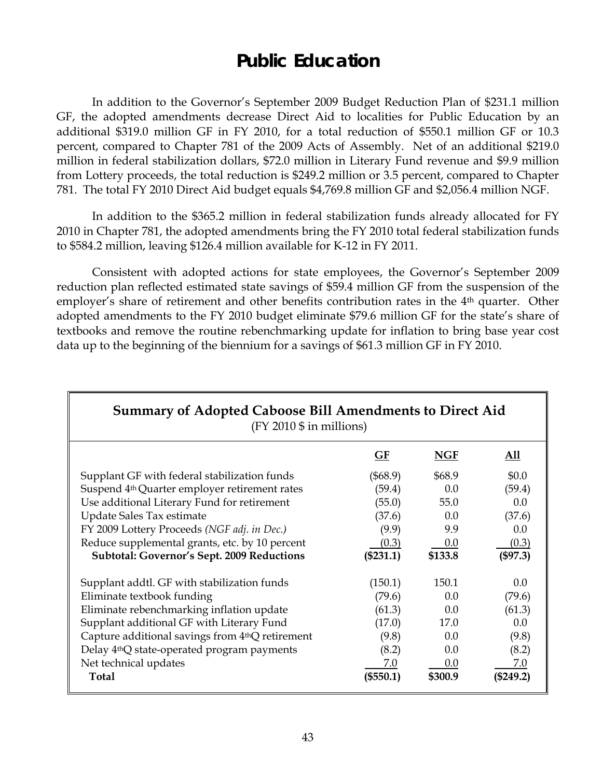# **Public Education**

 In addition to the Governor's September 2009 Budget Reduction Plan of \$231.1 million GF, the adopted amendments decrease Direct Aid to localities for Public Education by an additional \$319.0 million GF in FY 2010, for a total reduction of \$550.1 million GF or 10.3 percent, compared to Chapter 781 of the 2009 Acts of Assembly. Net of an additional \$219.0 million in federal stabilization dollars, \$72.0 million in Literary Fund revenue and \$9.9 million from Lottery proceeds, the total reduction is \$249.2 million or 3.5 percent, compared to Chapter 781. The total FY 2010 Direct Aid budget equals \$4,769.8 million GF and \$2,056.4 million NGF.

 In addition to the \$365.2 million in federal stabilization funds already allocated for FY 2010 in Chapter 781, the adopted amendments bring the FY 2010 total federal stabilization funds to \$584.2 million, leaving \$126.4 million available for K-12 in FY 2011.

 Consistent with adopted actions for state employees, the Governor's September 2009 reduction plan reflected estimated state savings of \$59.4 million GF from the suspension of the employer's share of retirement and other benefits contribution rates in the 4<sup>th</sup> quarter. Other adopted amendments to the FY 2010 budget eliminate \$79.6 million GF for the state's share of textbooks and remove the routine rebenchmarking update for inflation to bring base year cost data up to the beginning of the biennium for a savings of \$61.3 million GF in FY 2010.

| <b>Summary of Adopted Caboose Bill Amendments to Direct Aid</b><br>$(FY 2010 \$ \$ in millions) |             |            |           |  |
|-------------------------------------------------------------------------------------------------|-------------|------------|-----------|--|
|                                                                                                 | GF          | <b>NGF</b> | All       |  |
| Supplant GF with federal stabilization funds                                                    | $(\$68.9)$  | \$68.9     | \$0.0     |  |
| Suspend 4 <sup>th</sup> Quarter employer retirement rates                                       | (59.4)      | 0.0        | (59.4)    |  |
| Use additional Literary Fund for retirement                                                     | (55.0)      | 55.0       | 0.0       |  |
| Update Sales Tax estimate                                                                       | (37.6)      | 0.0        | (37.6)    |  |
| FY 2009 Lottery Proceeds (NGF adj. in Dec.)                                                     | (9.9)       | 9.9        | 0.0       |  |
| Reduce supplemental grants, etc. by 10 percent                                                  | (0.3)       | 0.0        | (0.3)     |  |
| <b>Subtotal: Governor's Sept. 2009 Reductions</b>                                               | $(\$231.1)$ | \$133.8    | (\$97.3)  |  |
| Supplant addtl. GF with stabilization funds                                                     | (150.1)     | 150.1      | 0.0       |  |
| Eliminate textbook funding                                                                      | (79.6)      | 0.0        | (79.6)    |  |
| Eliminate rebenchmarking inflation update                                                       | (61.3)      | 0.0        | (61.3)    |  |
| Supplant additional GF with Literary Fund                                                       | (17.0)      | 17.0       | 0.0       |  |
| Capture additional savings from 4thQ retirement                                                 | (9.8)       | 0.0        | (9.8)     |  |
| Delay 4 <sup>th</sup> Q state-operated program payments                                         | (8.2)       | 0.0        | (8.2)     |  |
| Net technical updates                                                                           | 7.0         | 0.0        | 7.0       |  |
| <b>Total</b>                                                                                    | $(\$550.1)$ | \$300.9    | (\$249.2) |  |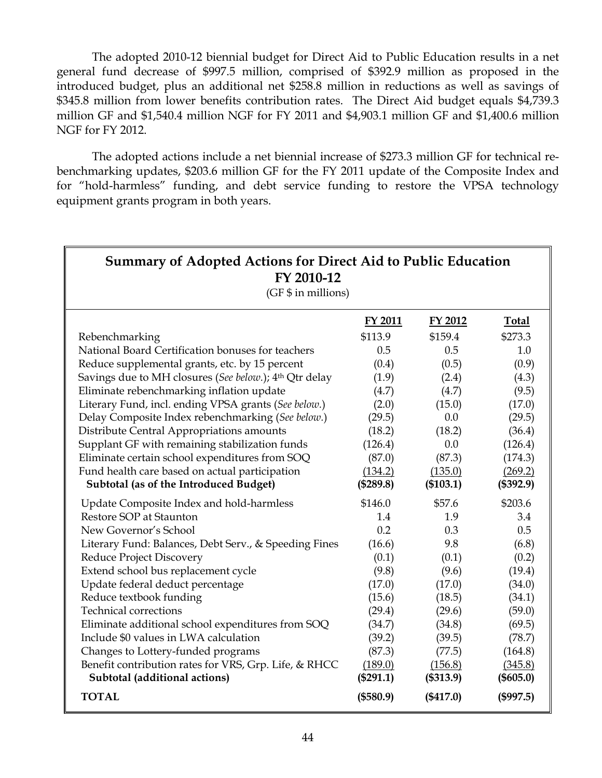The adopted 2010-12 biennial budget for Direct Aid to Public Education results in a net general fund decrease of \$997.5 million, comprised of \$392.9 million as proposed in the introduced budget, plus an additional net \$258.8 million in reductions as well as savings of \$345.8 million from lower benefits contribution rates. The Direct Aid budget equals \$4,739.3 million GF and \$1,540.4 million NGF for FY 2011 and \$4,903.1 million GF and \$1,400.6 million NGF for FY 2012.

The adopted actions include a net biennial increase of \$273.3 million GF for technical rebenchmarking updates, \$203.6 million GF for the FY 2011 update of the Composite Index and for "hold-harmless" funding, and debt service funding to restore the VPSA technology equipment grants program in both years.

| <b>Summary of Adopted Actions for Direct Aid to Public Education</b><br>FY 2010-12<br>(GF \$ in millions) |                |             |              |  |
|-----------------------------------------------------------------------------------------------------------|----------------|-------------|--------------|--|
|                                                                                                           | <b>FY 2011</b> | FY 2012     | <b>Total</b> |  |
| Rebenchmarking                                                                                            | \$113.9        | \$159.4     | \$273.3      |  |
| National Board Certification bonuses for teachers                                                         | 0.5            | 0.5         | 1.0          |  |
| Reduce supplemental grants, etc. by 15 percent                                                            | (0.4)          | (0.5)       | (0.9)        |  |
| Savings due to MH closures (See below.); 4th Qtr delay                                                    | (1.9)          | (2.4)       | (4.3)        |  |
| Eliminate rebenchmarking inflation update                                                                 | (4.7)          | (4.7)       | (9.5)        |  |
| Literary Fund, incl. ending VPSA grants (See below.)                                                      | (2.0)          | (15.0)      | (17.0)       |  |
| Delay Composite Index rebenchmarking (See below.)                                                         | (29.5)         | 0.0         | (29.5)       |  |
| Distribute Central Appropriations amounts                                                                 | (18.2)         | (18.2)      | (36.4)       |  |
| Supplant GF with remaining stabilization funds                                                            | (126.4)        | 0.0         | (126.4)      |  |
| Eliminate certain school expenditures from SOQ                                                            | (87.0)         | (87.3)      | (174.3)      |  |
| Fund health care based on actual participation                                                            | (134.2)        | (135.0)     | (269.2)      |  |
| Subtotal (as of the Introduced Budget)                                                                    | (\$289.8)      | (\$103.1)   | (\$392.9)    |  |
| Update Composite Index and hold-harmless                                                                  | \$146.0        | \$57.6      | \$203.6      |  |
| Restore SOP at Staunton                                                                                   | 1.4            | 1.9         | 3.4          |  |
| New Governor's School                                                                                     | 0.2            | 0.3         | 0.5          |  |
| Literary Fund: Balances, Debt Serv., & Speeding Fines                                                     | (16.6)         | 9.8         | (6.8)        |  |
| Reduce Project Discovery                                                                                  | (0.1)          | (0.1)       | (0.2)        |  |
| Extend school bus replacement cycle                                                                       | (9.8)          | (9.6)       | (19.4)       |  |
| Update federal deduct percentage                                                                          | (17.0)         | (17.0)      | (34.0)       |  |
| Reduce textbook funding                                                                                   | (15.6)         | (18.5)      | (34.1)       |  |
| <b>Technical corrections</b>                                                                              | (29.4)         | (29.6)      | (59.0)       |  |
| Eliminate additional school expenditures from SOQ                                                         | (34.7)         | (34.8)      | (69.5)       |  |
| Include \$0 values in LWA calculation                                                                     | (39.2)         | (39.5)      | (78.7)       |  |
| Changes to Lottery-funded programs                                                                        | (87.3)         | (77.5)      | (164.8)      |  |
| Benefit contribution rates for VRS, Grp. Life, & RHCC                                                     | (189.0)        | (156.8)     | (345.8)      |  |
| Subtotal (additional actions)                                                                             | $(\$291.1)$    | (\$313.9)   | (\$605.0)    |  |
| <b>TOTAL</b>                                                                                              | (\$580.9)      | $(\$417.0)$ | (\$997.5)    |  |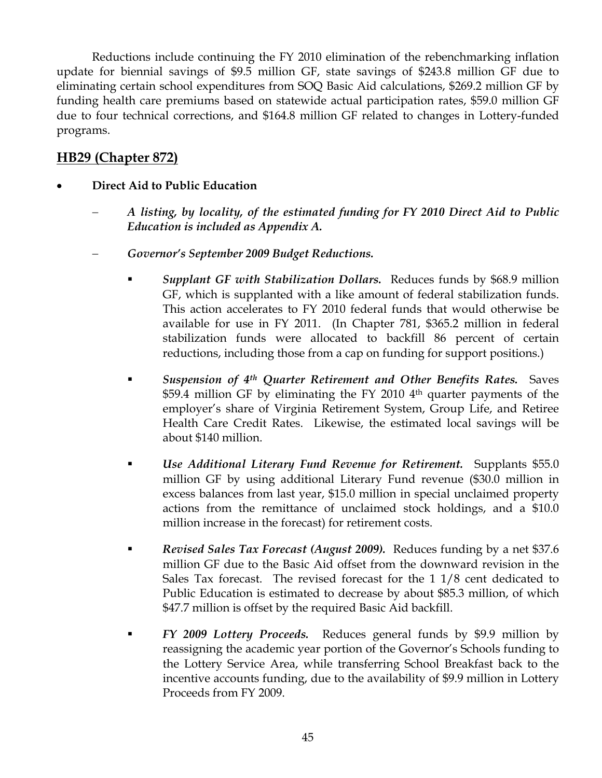Reductions include continuing the FY 2010 elimination of the rebenchmarking inflation update for biennial savings of \$9.5 million GF, state savings of \$243.8 million GF due to eliminating certain school expenditures from SOQ Basic Aid calculations, \$269.2 million GF by funding health care premiums based on statewide actual participation rates, \$59.0 million GF due to four technical corrections, and \$164.8 million GF related to changes in Lottery-funded programs.

# **HB29 (Chapter 872)**

# • **Direct Aid to Public Education**

- − *A listing, by locality, of the estimated funding for FY 2010 Direct Aid to Public Education is included as Appendix A.*
- − *Governor's September 2009 Budget Reductions.* 
	- *Supplant GF with Stabilization Dollars.* Reduces funds by \$68.9 million GF, which is supplanted with a like amount of federal stabilization funds. This action accelerates to FY 2010 federal funds that would otherwise be available for use in FY 2011. (In Chapter 781, \$365.2 million in federal stabilization funds were allocated to backfill 86 percent of certain reductions, including those from a cap on funding for support positions.)
	- *Suspension of 4th Quarter Retirement and Other Benefits Rates.* Saves \$59.4 million GF by eliminating the FY 2010 4<sup>th</sup> quarter payments of the employer's share of Virginia Retirement System, Group Life, and Retiree Health Care Credit Rates. Likewise, the estimated local savings will be about \$140 million.
	- *Use Additional Literary Fund Revenue for Retirement.* Supplants \$55.0 million GF by using additional Literary Fund revenue (\$30.0 million in excess balances from last year, \$15.0 million in special unclaimed property actions from the remittance of unclaimed stock holdings, and a \$10.0 million increase in the forecast) for retirement costs.
	- *Revised Sales Tax Forecast (August 2009).* Reduces funding by a net \$37.6 million GF due to the Basic Aid offset from the downward revision in the Sales Tax forecast. The revised forecast for the 1 1/8 cent dedicated to Public Education is estimated to decrease by about \$85.3 million, of which \$47.7 million is offset by the required Basic Aid backfill.
	- *FY 2009 Lottery Proceeds.* Reduces general funds by \$9.9 million by reassigning the academic year portion of the Governor's Schools funding to the Lottery Service Area, while transferring School Breakfast back to the incentive accounts funding, due to the availability of \$9.9 million in Lottery Proceeds from FY 2009.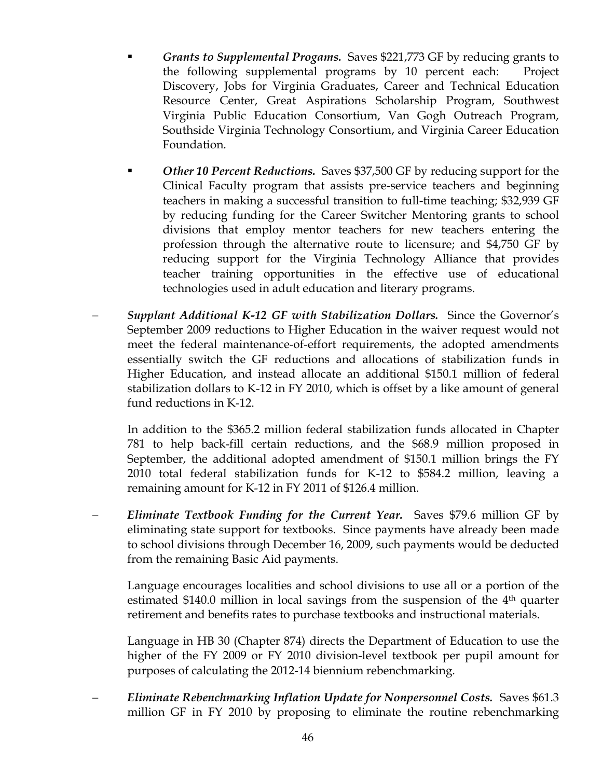- *Grants to Supplemental Progams.* Saves \$221,773 GF by reducing grants to the following supplemental programs by 10 percent each: Project Discovery, Jobs for Virginia Graduates, Career and Technical Education Resource Center, Great Aspirations Scholarship Program, Southwest Virginia Public Education Consortium, Van Gogh Outreach Program, Southside Virginia Technology Consortium, and Virginia Career Education Foundation.
- *Other 10 Percent Reductions.* Saves \$37,500 GF by reducing support for the Clinical Faculty program that assists pre-service teachers and beginning teachers in making a successful transition to full-time teaching; \$32,939 GF by reducing funding for the Career Switcher Mentoring grants to school divisions that employ mentor teachers for new teachers entering the profession through the alternative route to licensure; and \$4,750 GF by reducing support for the Virginia Technology Alliance that provides teacher training opportunities in the effective use of educational technologies used in adult education and literary programs.
- − *Supplant Additional K-12 GF with Stabilization Dollars.* Since the Governor's September 2009 reductions to Higher Education in the waiver request would not meet the federal maintenance-of-effort requirements, the adopted amendments essentially switch the GF reductions and allocations of stabilization funds in Higher Education, and instead allocate an additional \$150.1 million of federal stabilization dollars to K-12 in FY 2010, which is offset by a like amount of general fund reductions in K-12.

In addition to the \$365.2 million federal stabilization funds allocated in Chapter 781 to help back-fill certain reductions, and the \$68.9 million proposed in September, the additional adopted amendment of \$150.1 million brings the FY 2010 total federal stabilization funds for K-12 to \$584.2 million, leaving a remaining amount for K-12 in FY 2011 of \$126.4 million.

− *Eliminate Textbook Funding for the Current Year.* Saves \$79.6 million GF by eliminating state support for textbooks. Since payments have already been made to school divisions through December 16, 2009, such payments would be deducted from the remaining Basic Aid payments.

Language encourages localities and school divisions to use all or a portion of the estimated \$140.0 million in local savings from the suspension of the  $4<sup>th</sup>$  quarter retirement and benefits rates to purchase textbooks and instructional materials.

Language in HB 30 (Chapter 874) directs the Department of Education to use the higher of the FY 2009 or FY 2010 division-level textbook per pupil amount for purposes of calculating the 2012-14 biennium rebenchmarking.

− *Eliminate Rebenchmarking Inflation Update for Nonpersonnel Costs.* Saves \$61.3 million GF in FY 2010 by proposing to eliminate the routine rebenchmarking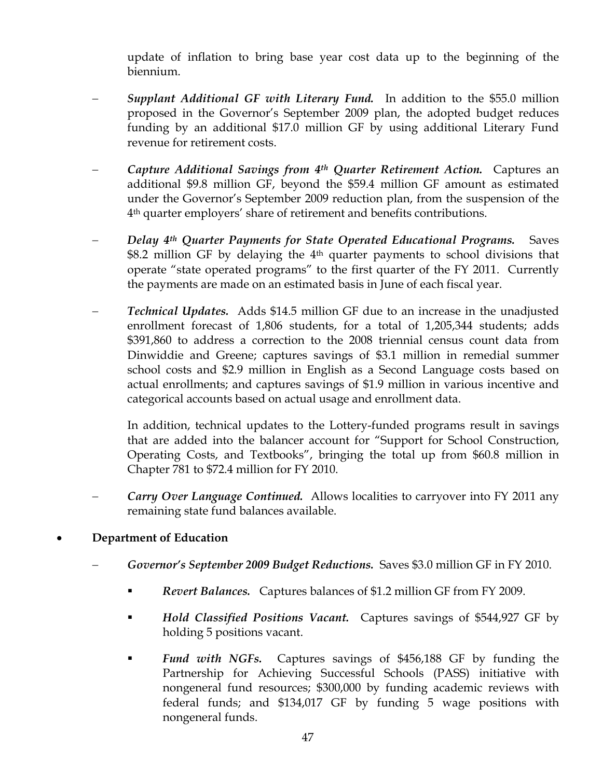update of inflation to bring base year cost data up to the beginning of the biennium.

- − *Supplant Additional GF with Literary Fund.* In addition to the \$55.0 million proposed in the Governor's September 2009 plan, the adopted budget reduces funding by an additional \$17.0 million GF by using additional Literary Fund revenue for retirement costs.
- − *Capture Additional Savings from 4th Quarter Retirement Action.* Captures an additional \$9.8 million GF, beyond the \$59.4 million GF amount as estimated under the Governor's September 2009 reduction plan, from the suspension of the 4th quarter employers' share of retirement and benefits contributions.
- − *Delay 4th Quarter Payments for State Operated Educational Programs.* Saves \$8.2 million GF by delaying the 4<sup>th</sup> quarter payments to school divisions that operate "state operated programs" to the first quarter of the FY 2011. Currently the payments are made on an estimated basis in June of each fiscal year.
- − *Technical Updates.* Adds \$14.5 million GF due to an increase in the unadjusted enrollment forecast of 1,806 students, for a total of 1,205,344 students; adds \$391,860 to address a correction to the 2008 triennial census count data from Dinwiddie and Greene; captures savings of \$3.1 million in remedial summer school costs and \$2.9 million in English as a Second Language costs based on actual enrollments; and captures savings of \$1.9 million in various incentive and categorical accounts based on actual usage and enrollment data.

In addition, technical updates to the Lottery-funded programs result in savings that are added into the balancer account for "Support for School Construction, Operating Costs, and Textbooks", bringing the total up from \$60.8 million in Chapter 781 to \$72.4 million for FY 2010.

*Carry Over Language Continued.* Allows localities to carryover into FY 2011 any remaining state fund balances available.

# • **Department of Education**

- − *Governor's September 2009 Budget Reductions.* Saves \$3.0 million GF in FY 2010.
	- *Revert Balances.* Captures balances of \$1.2 million GF from FY 2009.
	- *Hold Classified Positions Vacant.* Captures savings of \$544,927 GF by holding 5 positions vacant.
	- *Fund with NGFs.* Captures savings of \$456,188 GF by funding the Partnership for Achieving Successful Schools (PASS) initiative with nongeneral fund resources; \$300,000 by funding academic reviews with federal funds; and \$134,017 GF by funding 5 wage positions with nongeneral funds.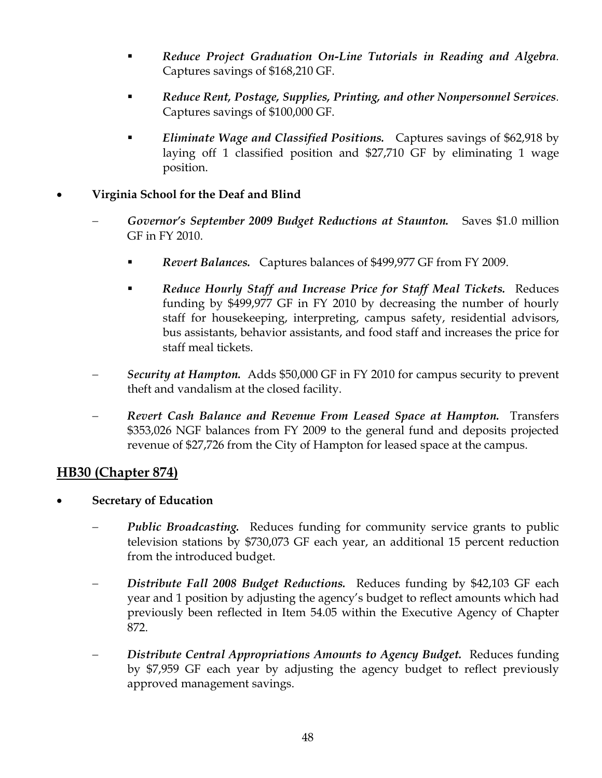- *Reduce Project Graduation On-Line Tutorials in Reading and Algebra.* Captures savings of \$168,210 GF.
- *Reduce Rent, Postage, Supplies, Printing, and other Nonpersonnel Services.* Captures savings of \$100,000 GF.
- *Eliminate Wage and Classified Positions.* Captures savings of \$62,918 by laying off 1 classified position and \$27,710 GF by eliminating 1 wage position.

#### • **Virginia School for the Deaf and Blind**

- − *Governor's September 2009 Budget Reductions at Staunton.* Saves \$1.0 million GF in FY 2010.
	- *Revert Balances.* Captures balances of \$499,977 GF from FY 2009.
	- *Reduce Hourly Staff and Increase Price for Staff Meal Tickets.* Reduces funding by \$499,977 GF in FY 2010 by decreasing the number of hourly staff for housekeeping, interpreting, campus safety, residential advisors, bus assistants, behavior assistants, and food staff and increases the price for staff meal tickets.
- − *Security at Hampton.* Adds \$50,000 GF in FY 2010 for campus security to prevent theft and vandalism at the closed facility.
- *Revert Cash Balance and Revenue From Leased Space at Hampton.* Transfers \$353,026 NGF balances from FY 2009 to the general fund and deposits projected revenue of \$27,726 from the City of Hampton for leased space at the campus.

# **HB30 (Chapter 874)**

- **Secretary of Education** 
	- *Public Broadcasting.* Reduces funding for community service grants to public television stations by \$730,073 GF each year, an additional 15 percent reduction from the introduced budget.
	- − *Distribute Fall 2008 Budget Reductions.* Reduces funding by \$42,103 GF each year and 1 position by adjusting the agency's budget to reflect amounts which had previously been reflected in Item 54.05 within the Executive Agency of Chapter 872.
	- − *Distribute Central Appropriations Amounts to Agency Budget.* Reduces funding by \$7,959 GF each year by adjusting the agency budget to reflect previously approved management savings.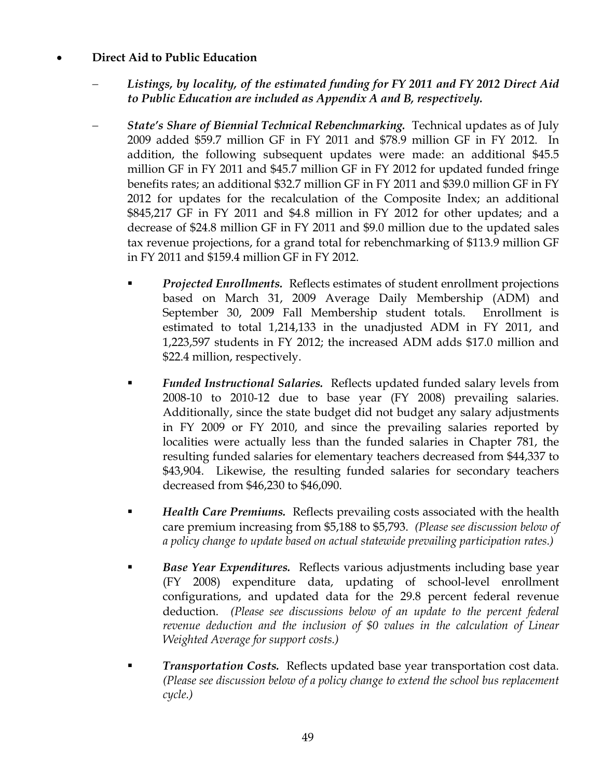#### • **Direct Aid to Public Education**

- − *Listings, by locality, of the estimated funding for FY 2011 and FY 2012 Direct Aid to Public Education are included as Appendix A and B, respectively.*
- *State's Share of Biennial Technical Rebenchmarking. Technical updates as of July* 2009 added \$59.7 million GF in FY 2011 and \$78.9 million GF in FY 2012. In addition, the following subsequent updates were made: an additional \$45.5 million GF in FY 2011 and \$45.7 million GF in FY 2012 for updated funded fringe benefits rates; an additional \$32.7 million GF in FY 2011 and \$39.0 million GF in FY 2012 for updates for the recalculation of the Composite Index; an additional \$845,217 GF in FY 2011 and \$4.8 million in FY 2012 for other updates; and a decrease of \$24.8 million GF in FY 2011 and \$9.0 million due to the updated sales tax revenue projections, for a grand total for rebenchmarking of \$113.9 million GF in FY 2011 and \$159.4 million GF in FY 2012.
	- *Projected Enrollments.* Reflects estimates of student enrollment projections based on March 31, 2009 Average Daily Membership (ADM) and September 30, 2009 Fall Membership student totals. Enrollment is estimated to total 1,214,133 in the unadjusted ADM in FY 2011, and 1,223,597 students in FY 2012; the increased ADM adds \$17.0 million and \$22.4 million, respectively.
	- *Funded Instructional Salaries.* Reflects updated funded salary levels from 2008-10 to 2010-12 due to base year (FY 2008) prevailing salaries. Additionally, since the state budget did not budget any salary adjustments in FY 2009 or FY 2010, and since the prevailing salaries reported by localities were actually less than the funded salaries in Chapter 781, the resulting funded salaries for elementary teachers decreased from \$44,337 to \$43,904. Likewise, the resulting funded salaries for secondary teachers decreased from \$46,230 to \$46,090.
	- *Health Care Premiums.* Reflects prevailing costs associated with the health care premium increasing from \$5,188 to \$5,793. *(Please see discussion below of a policy change to update based on actual statewide prevailing participation rates.)*
	- *Base Year Expenditures.* Reflects various adjustments including base year (FY 2008) expenditure data, updating of school-level enrollment configurations, and updated data for the 29.8 percent federal revenue deduction. *(Please see discussions below of an update to the percent federal revenue deduction and the inclusion of \$0 values in the calculation of Linear Weighted Average for support costs.)*
	- *Transportation Costs.* Reflects updated base year transportation cost data. *(Please see discussion below of a policy change to extend the school bus replacement cycle.)*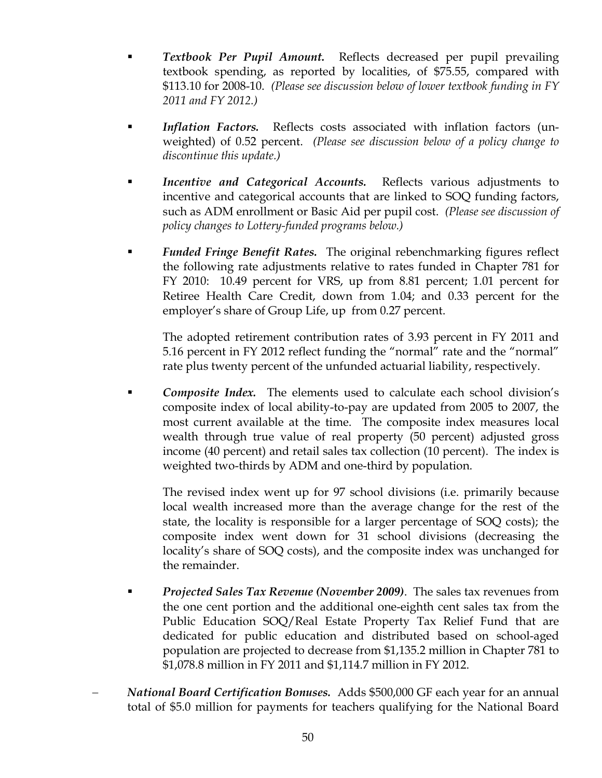- *Textbook Per Pupil Amount.* Reflects decreased per pupil prevailing textbook spending, as reported by localities, of \$75.55, compared with \$113.10 for 2008-10. *(Please see discussion below of lower textbook funding in FY 2011 and FY 2012.)*
- *Inflation Factors.* Reflects costs associated with inflation factors (unweighted) of 0.52 percent. *(Please see discussion below of a policy change to discontinue this update.)*
- *Incentive and Categorical Accounts.* Reflects various adjustments to incentive and categorical accounts that are linked to SOQ funding factors, such as ADM enrollment or Basic Aid per pupil cost. *(Please see discussion of policy changes to Lottery-funded programs below.)*
- *Funded Fringe Benefit Rates.* The original rebenchmarking figures reflect the following rate adjustments relative to rates funded in Chapter 781 for FY 2010: 10.49 percent for VRS, up from 8.81 percent; 1.01 percent for Retiree Health Care Credit, down from 1.04; and 0.33 percent for the employer's share of Group Life, up from 0.27 percent.

The adopted retirement contribution rates of 3.93 percent in FY 2011 and 5.16 percent in FY 2012 reflect funding the "normal" rate and the "normal" rate plus twenty percent of the unfunded actuarial liability, respectively.

 *Composite Index.* The elements used to calculate each school division's composite index of local ability-to-pay are updated from 2005 to 2007, the most current available at the time. The composite index measures local wealth through true value of real property (50 percent) adjusted gross income (40 percent) and retail sales tax collection (10 percent). The index is weighted two-thirds by ADM and one-third by population.

The revised index went up for 97 school divisions (i.e. primarily because local wealth increased more than the average change for the rest of the state, the locality is responsible for a larger percentage of SOQ costs); the composite index went down for 31 school divisions (decreasing the locality's share of SOQ costs), and the composite index was unchanged for the remainder.

- *Projected Sales Tax Revenue (November 2009)*. The sales tax revenues from the one cent portion and the additional one-eighth cent sales tax from the Public Education SOQ/Real Estate Property Tax Relief Fund that are dedicated for public education and distributed based on school-aged population are projected to decrease from \$1,135.2 million in Chapter 781 to \$1,078.8 million in FY 2011 and \$1,114.7 million in FY 2012.
- − *National Board Certification Bonuses.* Adds \$500,000 GF each year for an annual total of \$5.0 million for payments for teachers qualifying for the National Board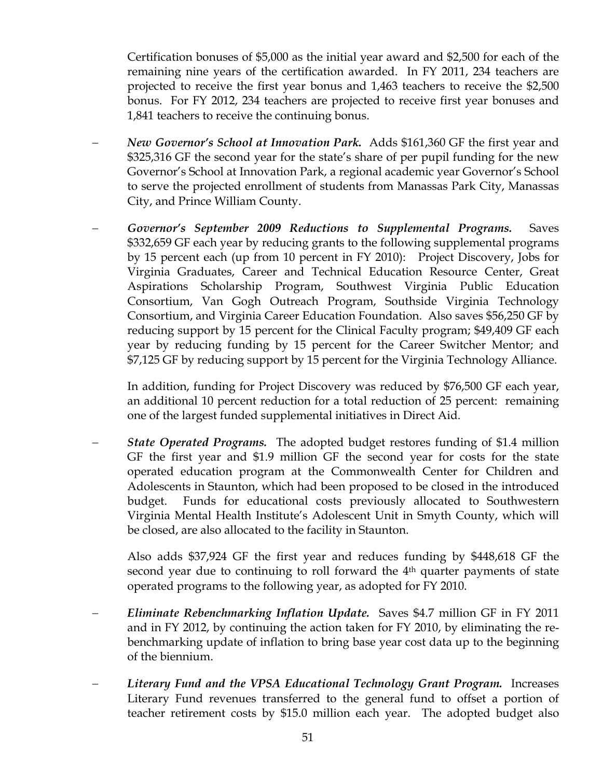Certification bonuses of \$5,000 as the initial year award and \$2,500 for each of the remaining nine years of the certification awarded. In FY 2011, 234 teachers are projected to receive the first year bonus and 1,463 teachers to receive the \$2,500 bonus. For FY 2012, 234 teachers are projected to receive first year bonuses and 1,841 teachers to receive the continuing bonus.

- − *New Governor's School at Innovation Park.* Adds \$161,360 GF the first year and \$325,316 GF the second year for the state's share of per pupil funding for the new Governor's School at Innovation Park, a regional academic year Governor's School to serve the projected enrollment of students from Manassas Park City, Manassas City, and Prince William County.
- − *Governor's September 2009 Reductions to Supplemental Programs.* Saves \$332,659 GF each year by reducing grants to the following supplemental programs by 15 percent each (up from 10 percent in FY 2010): Project Discovery, Jobs for Virginia Graduates, Career and Technical Education Resource Center, Great Aspirations Scholarship Program, Southwest Virginia Public Education Consortium, Van Gogh Outreach Program, Southside Virginia Technology Consortium, and Virginia Career Education Foundation. Also saves \$56,250 GF by reducing support by 15 percent for the Clinical Faculty program; \$49,409 GF each year by reducing funding by 15 percent for the Career Switcher Mentor; and \$7,125 GF by reducing support by 15 percent for the Virginia Technology Alliance.

In addition, funding for Project Discovery was reduced by \$76,500 GF each year, an additional 10 percent reduction for a total reduction of 25 percent: remaining one of the largest funded supplemental initiatives in Direct Aid.

− *State Operated Programs.* The adopted budget restores funding of \$1.4 million GF the first year and \$1.9 million GF the second year for costs for the state operated education program at the Commonwealth Center for Children and Adolescents in Staunton, which had been proposed to be closed in the introduced budget. Funds for educational costs previously allocated to Southwestern Virginia Mental Health Institute's Adolescent Unit in Smyth County, which will be closed, are also allocated to the facility in Staunton.

Also adds \$37,924 GF the first year and reduces funding by \$448,618 GF the second year due to continuing to roll forward the 4<sup>th</sup> quarter payments of state operated programs to the following year, as adopted for FY 2010.

- − *Eliminate Rebenchmarking Inflation Update.* Saves \$4.7 million GF in FY 2011 and in FY 2012, by continuing the action taken for FY 2010, by eliminating the rebenchmarking update of inflation to bring base year cost data up to the beginning of the biennium.
- − *Literary Fund and the VPSA Educational Technology Grant Program.* Increases Literary Fund revenues transferred to the general fund to offset a portion of teacher retirement costs by \$15.0 million each year. The adopted budget also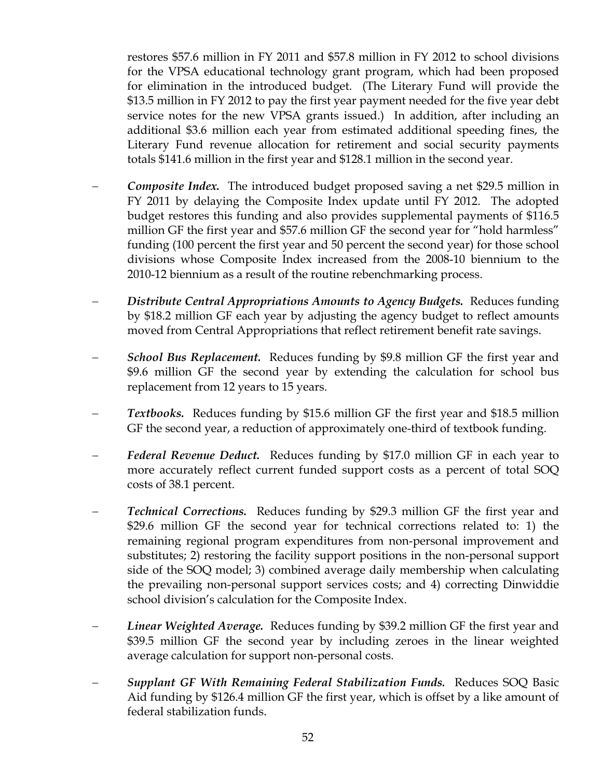restores \$57.6 million in FY 2011 and \$57.8 million in FY 2012 to school divisions for the VPSA educational technology grant program, which had been proposed for elimination in the introduced budget. (The Literary Fund will provide the \$13.5 million in FY 2012 to pay the first year payment needed for the five year debt service notes for the new VPSA grants issued.) In addition, after including an additional \$3.6 million each year from estimated additional speeding fines, the Literary Fund revenue allocation for retirement and social security payments totals \$141.6 million in the first year and \$128.1 million in the second year.

- − *Composite Index.* The introduced budget proposed saving a net \$29.5 million in FY 2011 by delaying the Composite Index update until FY 2012. The adopted budget restores this funding and also provides supplemental payments of \$116.5 million GF the first year and \$57.6 million GF the second year for "hold harmless" funding (100 percent the first year and 50 percent the second year) for those school divisions whose Composite Index increased from the 2008-10 biennium to the 2010-12 biennium as a result of the routine rebenchmarking process.
- − *Distribute Central Appropriations Amounts to Agency Budgets.* Reduces funding by \$18.2 million GF each year by adjusting the agency budget to reflect amounts moved from Central Appropriations that reflect retirement benefit rate savings.
- *School Bus Replacement.* Reduces funding by \$9.8 million GF the first year and \$9.6 million GF the second year by extending the calculation for school bus replacement from 12 years to 15 years.
- − *Textbooks.* Reduces funding by \$15.6 million GF the first year and \$18.5 million GF the second year, a reduction of approximately one-third of textbook funding.
- − *Federal Revenue Deduct.* Reduces funding by \$17.0 million GF in each year to more accurately reflect current funded support costs as a percent of total SOQ costs of 38.1 percent.
- − *Technical Corrections.* Reduces funding by \$29.3 million GF the first year and \$29.6 million GF the second year for technical corrections related to: 1) the remaining regional program expenditures from non-personal improvement and substitutes; 2) restoring the facility support positions in the non-personal support side of the SOQ model; 3) combined average daily membership when calculating the prevailing non-personal support services costs; and 4) correcting Dinwiddie school division's calculation for the Composite Index.
- *Linear Weighted Average.* Reduces funding by \$39.2 million GF the first year and \$39.5 million GF the second year by including zeroes in the linear weighted average calculation for support non-personal costs.
- *Supplant GF With Remaining Federal Stabilization Funds.* Reduces SOQ Basic Aid funding by \$126.4 million GF the first year, which is offset by a like amount of federal stabilization funds.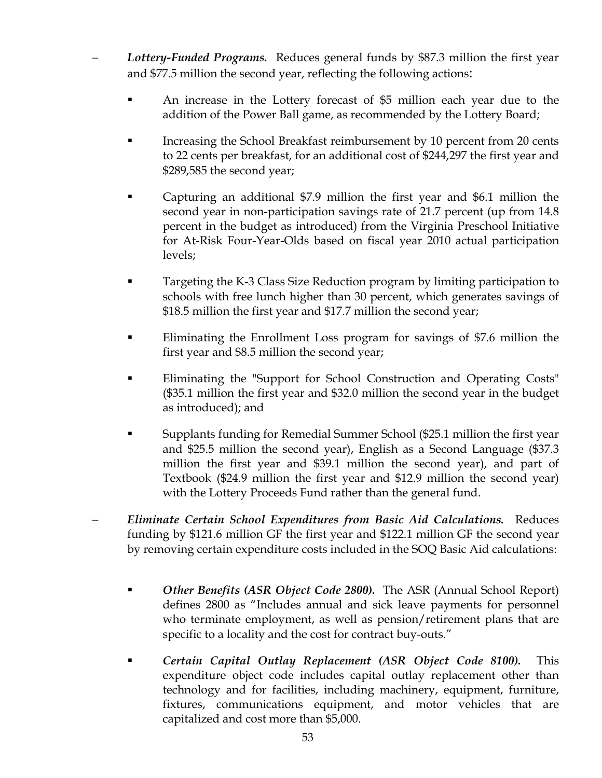- − *Lottery-Funded Programs.* Reduces general funds by \$87.3 million the first year and \$77.5 million the second year, reflecting the following actions:
	- An increase in the Lottery forecast of \$5 million each year due to the addition of the Power Ball game, as recommended by the Lottery Board;
	- Increasing the School Breakfast reimbursement by 10 percent from 20 cents to 22 cents per breakfast, for an additional cost of \$244,297 the first year and \$289,585 the second year;
	- Capturing an additional \$7.9 million the first year and \$6.1 million the second year in non-participation savings rate of 21.7 percent (up from 14.8 percent in the budget as introduced) from the Virginia Preschool Initiative for At-Risk Four-Year-Olds based on fiscal year 2010 actual participation levels;
	- Targeting the K-3 Class Size Reduction program by limiting participation to schools with free lunch higher than 30 percent, which generates savings of \$18.5 million the first year and \$17.7 million the second year;
	- Eliminating the Enrollment Loss program for savings of \$7.6 million the first year and \$8.5 million the second year;
	- Eliminating the "Support for School Construction and Operating Costs" (\$35.1 million the first year and \$32.0 million the second year in the budget as introduced); and
	- Supplants funding for Remedial Summer School (\$25.1 million the first year and \$25.5 million the second year), English as a Second Language (\$37.3 million the first year and \$39.1 million the second year), and part of Textbook (\$24.9 million the first year and \$12.9 million the second year) with the Lottery Proceeds Fund rather than the general fund.
- − *Eliminate Certain School Expenditures from Basic Aid Calculations.* Reduces funding by \$121.6 million GF the first year and \$122.1 million GF the second year by removing certain expenditure costs included in the SOQ Basic Aid calculations:
	- *Other Benefits (ASR Object Code 2800).* The ASR (Annual School Report) defines 2800 as "Includes annual and sick leave payments for personnel who terminate employment, as well as pension/retirement plans that are specific to a locality and the cost for contract buy-outs."
	- *Certain Capital Outlay Replacement (ASR Object Code 8100).* This expenditure object code includes capital outlay replacement other than technology and for facilities, including machinery, equipment, furniture, fixtures, communications equipment, and motor vehicles that are capitalized and cost more than \$5,000.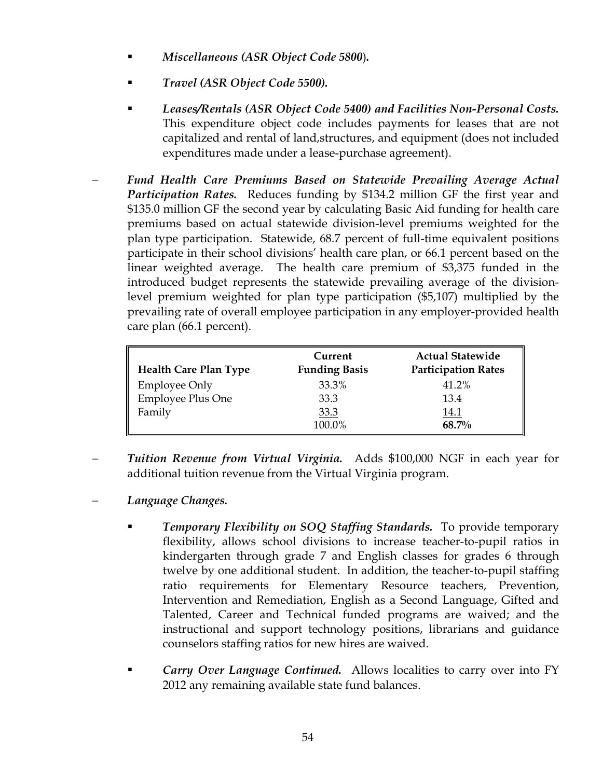- *Miscellaneous (ASR Object Code 5800*)*.*
- *Travel (ASR Object Code 5500).*
- *Leases/Rentals (ASR Object Code 5400) and Facilities Non-Personal Costs.* This expenditure object code includes payments for leases that are not capitalized and rental of land,structures, and equipment (does not included expenditures made under a lease-purchase agreement).
- − *Fund Health Care Premiums Based on Statewide Prevailing Average Actual Participation Rates.* Reduces funding by \$134.2 million GF the first year and \$135.0 million GF the second year by calculating Basic Aid funding for health care premiums based on actual statewide division-level premiums weighted for the plan type participation. Statewide, 68.7 percent of full-time equivalent positions participate in their school divisions' health care plan, or 66.1 percent based on the linear weighted average. The health care premium of \$3,375 funded in the introduced budget represents the statewide prevailing average of the divisionlevel premium weighted for plan type participation (\$5,107) multiplied by the prevailing rate of overall employee participation in any employer-provided health care plan (66.1 percent).

| <b>Health Care Plan Type</b> | Current<br><b>Funding Basis</b> | <b>Actual Statewide</b><br><b>Participation Rates</b> |
|------------------------------|---------------------------------|-------------------------------------------------------|
| <b>Employee Only</b>         | 33.3%                           | 41.2%                                                 |
| <b>Employee Plus One</b>     | 33.3                            | 13.4                                                  |
| Family                       | 33.3                            | 14.1                                                  |
|                              | 100.0%                          | 68.7%                                                 |

- − *Tuition Revenue from Virtual Virginia.* Adds \$100,000 NGF in each year for additional tuition revenue from the Virtual Virginia program.
- − *Language Changes.* 
	- *Temporary Flexibility on SOQ Staffing Standards.* To provide temporary flexibility, allows school divisions to increase teacher-to-pupil ratios in kindergarten through grade 7 and English classes for grades 6 through twelve by one additional student. In addition, the teacher-to-pupil staffing ratio requirements for Elementary Resource teachers, Prevention, Intervention and Remediation, English as a Second Language, Gifted and Talented, Career and Technical funded programs are waived; and the instructional and support technology positions, librarians and guidance counselors staffing ratios for new hires are waived.
	- *Carry Over Language Continued.* Allows localities to carry over into FY 2012 any remaining available state fund balances.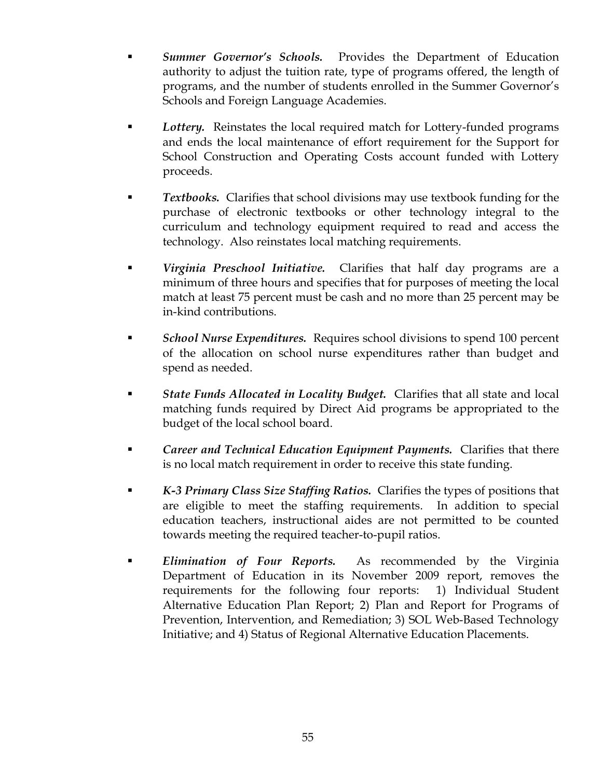- *Summer Governor's Schools.* Provides the Department of Education authority to adjust the tuition rate, type of programs offered, the length of programs, and the number of students enrolled in the Summer Governor's Schools and Foreign Language Academies.
- *Lottery.* Reinstates the local required match for Lottery-funded programs and ends the local maintenance of effort requirement for the Support for School Construction and Operating Costs account funded with Lottery proceeds.
- *Textbooks.* Clarifies that school divisions may use textbook funding for the purchase of electronic textbooks or other technology integral to the curriculum and technology equipment required to read and access the technology. Also reinstates local matching requirements.
- *Virginia Preschool Initiative.* Clarifies that half day programs are a minimum of three hours and specifies that for purposes of meeting the local match at least 75 percent must be cash and no more than 25 percent may be in-kind contributions.
- *School Nurse Expenditures.* Requires school divisions to spend 100 percent of the allocation on school nurse expenditures rather than budget and spend as needed.
- *State Funds Allocated in Locality Budget.* Clarifies that all state and local matching funds required by Direct Aid programs be appropriated to the budget of the local school board.
- *Career and Technical Education Equipment Payments.* Clarifies that there is no local match requirement in order to receive this state funding.
- *K-3 Primary Class Size Staffing Ratios.* Clarifies the types of positions that are eligible to meet the staffing requirements. In addition to special education teachers, instructional aides are not permitted to be counted towards meeting the required teacher-to-pupil ratios.
- *Elimination of Four Reports.* As recommended by the Virginia Department of Education in its November 2009 report, removes the requirements for the following four reports: 1) Individual Student Alternative Education Plan Report; 2) Plan and Report for Programs of Prevention, Intervention, and Remediation; 3) SOL Web-Based Technology Initiative; and 4) Status of Regional Alternative Education Placements.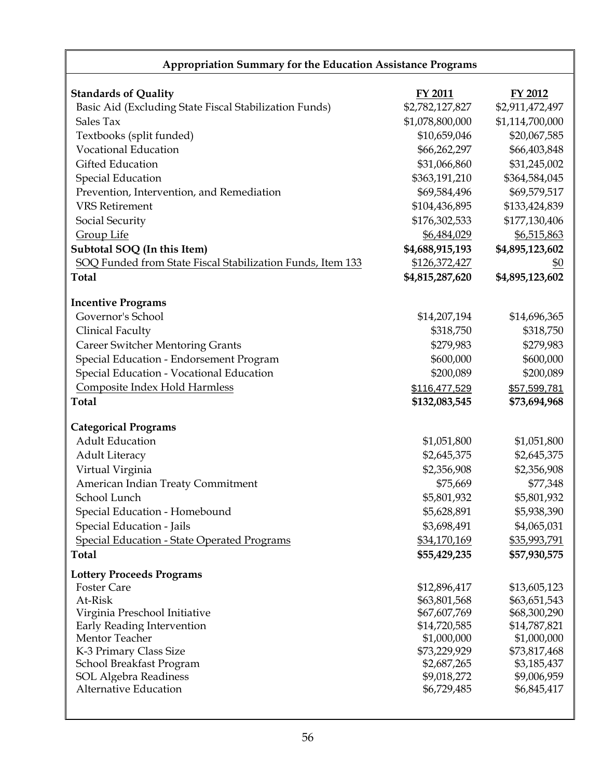| Appropriation Summary for the Education Assistance Programs                           |                                |                              |  |
|---------------------------------------------------------------------------------------|--------------------------------|------------------------------|--|
| <b>Standards of Quality</b><br>Basic Aid (Excluding State Fiscal Stabilization Funds) | FY 2011<br>\$2,782,127,827     | FY 2012<br>\$2,911,472,497   |  |
| Sales Tax                                                                             | \$1,078,800,000                | \$1,114,700,000              |  |
| Textbooks (split funded)                                                              | \$10,659,046                   | \$20,067,585                 |  |
| <b>Vocational Education</b>                                                           | \$66,262,297                   | \$66,403,848                 |  |
| Gifted Education                                                                      | \$31,066,860                   | \$31,245,002                 |  |
| <b>Special Education</b>                                                              | \$363,191,210                  | \$364,584,045                |  |
| Prevention, Intervention, and Remediation                                             | \$69,584,496                   | \$69,579,517                 |  |
| <b>VRS</b> Retirement                                                                 | \$104,436,895                  | \$133,424,839                |  |
| Social Security                                                                       | \$176,302,533                  | \$177,130,406                |  |
| <b>Group Life</b>                                                                     | \$6,484,029                    | \$6,515,863                  |  |
| Subtotal SOQ (In this Item)                                                           | \$4,688,915,193                | \$4,895,123,602              |  |
| SOQ Funded from State Fiscal Stabilization Funds, Item 133                            | \$126,372,427                  | <u>\$0</u>                   |  |
| <b>Total</b>                                                                          | \$4,815,287,620                | \$4,895,123,602              |  |
|                                                                                       |                                |                              |  |
| <b>Incentive Programs</b>                                                             |                                |                              |  |
| Governor's School                                                                     | \$14,207,194                   | \$14,696,365                 |  |
| Clinical Faculty                                                                      | \$318,750                      | \$318,750                    |  |
| <b>Career Switcher Mentoring Grants</b>                                               | \$279,983                      | \$279,983                    |  |
| Special Education - Endorsement Program                                               | \$600,000                      | \$600,000                    |  |
| Special Education - Vocational Education                                              | \$200,089                      | \$200,089                    |  |
| Composite Index Hold Harmless<br><b>Total</b>                                         | \$116,477,529<br>\$132,083,545 | \$57,599,781<br>\$73,694,968 |  |
|                                                                                       |                                |                              |  |
| <b>Categorical Programs</b>                                                           |                                |                              |  |
| <b>Adult Education</b>                                                                | \$1,051,800                    | \$1,051,800                  |  |
| <b>Adult Literacy</b>                                                                 | \$2,645,375                    | \$2,645,375                  |  |
| Virtual Virginia                                                                      | \$2,356,908                    | \$2,356,908                  |  |
| American Indian Treaty Commitment                                                     | \$75,669                       | \$77,348                     |  |
| School Lunch                                                                          | \$5,801,932                    | \$5,801,932                  |  |
| Special Education - Homebound                                                         | \$5,628,891                    | \$5,938,390                  |  |
| Special Education - Jails                                                             | \$3,698,491                    | \$4,065,031                  |  |
| <b>Special Education - State Operated Programs</b>                                    | \$34,170,169                   | \$35,993,791                 |  |
| <b>Total</b>                                                                          | \$55,429,235                   | \$57,930,575                 |  |
| <b>Lottery Proceeds Programs</b>                                                      |                                |                              |  |
| <b>Foster Care</b>                                                                    | \$12,896,417                   | \$13,605,123                 |  |
| At-Risk                                                                               | \$63,801,568                   | \$63,651,543                 |  |
| Virginia Preschool Initiative                                                         | \$67,607,769                   | \$68,300,290                 |  |
| Early Reading Intervention                                                            | \$14,720,585                   | \$14,787,821                 |  |
| Mentor Teacher<br>K-3 Primary Class Size                                              | \$1,000,000<br>\$73,229,929    | \$1,000,000<br>\$73,817,468  |  |
| School Breakfast Program                                                              | \$2,687,265                    | \$3,185,437                  |  |
| <b>SOL Algebra Readiness</b>                                                          | \$9,018,272                    | \$9,006,959                  |  |
| Alternative Education                                                                 | \$6,729,485                    | \$6,845,417                  |  |
|                                                                                       |                                |                              |  |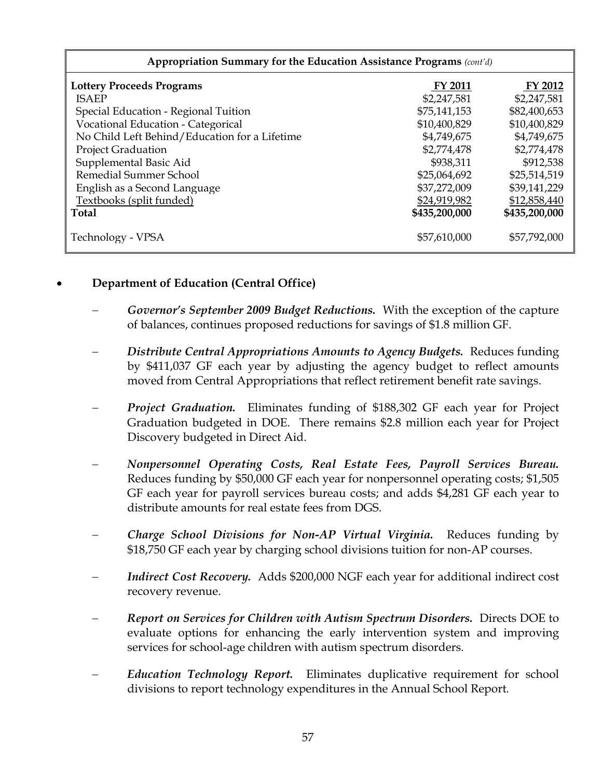| Appropriation Summary for the Education Assistance Programs (cont'd) |                |               |  |  |
|----------------------------------------------------------------------|----------------|---------------|--|--|
| <b>Lottery Proceeds Programs</b>                                     | <b>FY 2011</b> | FY 2012       |  |  |
| <b>ISAEP</b>                                                         | \$2,247,581    | \$2,247,581   |  |  |
| Special Education - Regional Tuition                                 | \$75,141,153   | \$82,400,653  |  |  |
| Vocational Education - Categorical                                   | \$10,400,829   | \$10,400,829  |  |  |
| No Child Left Behind/Education for a Lifetime                        | \$4,749,675    | \$4,749,675   |  |  |
| <b>Project Graduation</b>                                            | \$2,774,478    | \$2,774,478   |  |  |
| Supplemental Basic Aid                                               | \$938,311      | \$912,538     |  |  |
| Remedial Summer School                                               | \$25,064,692   | \$25,514,519  |  |  |
| English as a Second Language                                         | \$37,272,009   | \$39,141,229  |  |  |
| Textbooks (split funded)                                             | \$24,919,982   | \$12,858,440  |  |  |
| <b>Total</b>                                                         | \$435,200,000  | \$435,200,000 |  |  |
| Technology - VPSA                                                    | \$57,610,000   | \$57,792,000  |  |  |

# • **Department of Education (Central Office)**

- − *Governor's September 2009 Budget Reductions.* With the exception of the capture of balances, continues proposed reductions for savings of \$1.8 million GF.
- − *Distribute Central Appropriations Amounts to Agency Budgets.* Reduces funding by \$411,037 GF each year by adjusting the agency budget to reflect amounts moved from Central Appropriations that reflect retirement benefit rate savings.
- − *Project Graduation.* Eliminates funding of \$188,302 GF each year for Project Graduation budgeted in DOE. There remains \$2.8 million each year for Project Discovery budgeted in Direct Aid.
- − *Nonpersonnel Operating Costs, Real Estate Fees, Payroll Services Bureau.*  Reduces funding by \$50,000 GF each year for nonpersonnel operating costs; \$1,505 GF each year for payroll services bureau costs; and adds \$4,281 GF each year to distribute amounts for real estate fees from DGS.
- − *Charge School Divisions for Non-AP Virtual Virginia.* Reduces funding by \$18,750 GF each year by charging school divisions tuition for non-AP courses.
- *Indirect Cost Recovery.* Adds \$200,000 NGF each year for additional indirect cost recovery revenue.
- − *Report on Services for Children with Autism Spectrum Disorders.* Directs DOE to evaluate options for enhancing the early intervention system and improving services for school-age children with autism spectrum disorders*.*
- − *Education Technology Report.* Eliminates duplicative requirement for school divisions to report technology expenditures in the Annual School Report*.*